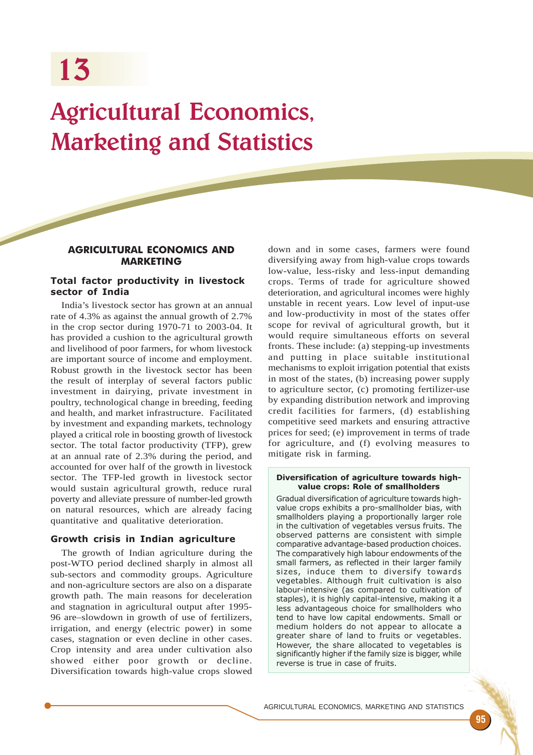# Agricultural Economics, Marketing and Statistics

# AGRICULTURAL ECONOMICS AND **MARKETING**

# Total factor productivity in livestock sector of India

India's livestock sector has grown at an annual rate of 4.3% as against the annual growth of 2.7% in the crop sector during 1970-71 to 2003-04. It has provided a cushion to the agricultural growth and livelihood of poor farmers, for whom livestock are important source of income and employment. Robust growth in the livestock sector has been the result of interplay of several factors public investment in dairying, private investment in poultry, technological change in breeding, feeding and health, and market infrastructure. Facilitated by investment and expanding markets, technology played a critical role in boosting growth of livestock sector. The total factor productivity (TFP), grew at an annual rate of 2.3% during the period, and accounted for over half of the growth in livestock sector. The TFP-led growth in livestock sector would sustain agricultural growth, reduce rural poverty and alleviate pressure of number-led growth on natural resources, which are already facing quantitative and qualitative deterioration.

# Growth crisis in Indian agriculture

The growth of Indian agriculture during the post-WTO period declined sharply in almost all sub-sectors and commodity groups. Agriculture and non-agriculture sectors are also on a disparate growth path. The main reasons for deceleration and stagnation in agricultural output after 1995- 96 are–slowdown in growth of use of fertilizers, irrigation, and energy (electric power) in some cases, stagnation or even decline in other cases. Crop intensity and area under cultivation also showed either poor growth or decline. Diversification towards high-value crops slowed

down and in some cases, farmers were found diversifying away from high-value crops towards low-value, less-risky and less-input demanding crops. Terms of trade for agriculture showed deterioration, and agricultural incomes were highly unstable in recent years. Low level of input-use and low-productivity in most of the states offer scope for revival of agricultural growth, but it would require simultaneous efforts on several fronts. These include: (a) stepping-up investments and putting in place suitable institutional mechanisms to exploit irrigation potential that exists in most of the states, (b) increasing power supply to agriculture sector, (c) promoting fertilizer-use by expanding distribution network and improving credit facilities for farmers, (d) establishing competitive seed markets and ensuring attractive prices for seed; (e) improvement in terms of trade for agriculture, and (f) evolving measures to mitigate risk in farming.

#### Diversification of agriculture towards highvalue crops: Role of smallholders

Gradual diversification of agriculture towards highvalue crops exhibits a pro-smallholder bias, with smallholders playing a proportionally larger role in the cultivation of vegetables versus fruits. The observed patterns are consistent with simple comparative advantage-based production choices. The comparatively high labour endowments of the small farmers, as reflected in their larger family sizes, induce them to diversify towards vegetables. Although fruit cultivation is also labour-intensive (as compared to cultivation of staples), it is highly capital-intensive, making it a less advantageous choice for smallholders who tend to have low capital endowments. Small or medium holders do not appear to allocate a greater share of land to fruits or vegetables. However, the share allocated to vegetables is significantly higher if the family size is bigger, while reverse is true in case of fruits.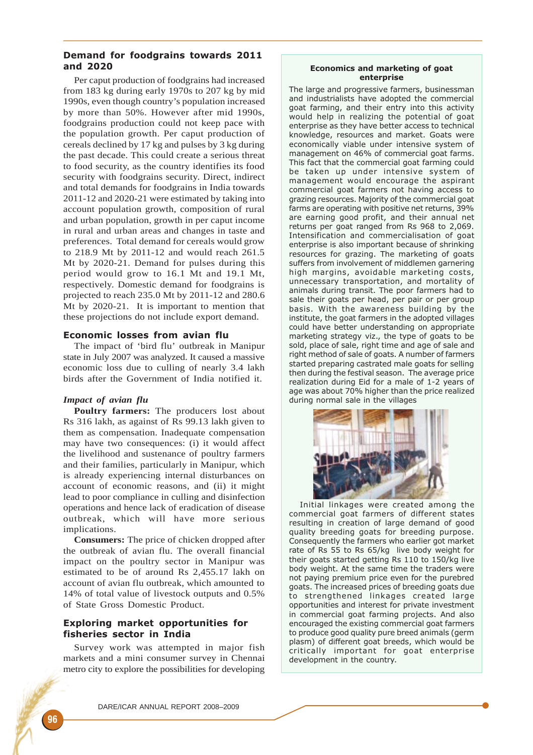# Demand for foodgrains towards 2011 and 2020

Per caput production of foodgrains had increased from 183 kg during early 1970s to 207 kg by mid 1990s, even though country's population increased by more than 50%. However after mid 1990s, foodgrains production could not keep pace with the population growth. Per caput production of cereals declined by 17 kg and pulses by 3 kg during the past decade. This could create a serious threat to food security, as the country identifies its food security with foodgrains security. Direct, indirect and total demands for foodgrains in India towards 2011-12 and 2020-21 were estimated by taking into account population growth, composition of rural and urban population, growth in per caput income in rural and urban areas and changes in taste and preferences. Total demand for cereals would grow to 218.9 Mt by 2011-12 and would reach 261.5 Mt by 2020-21. Demand for pulses during this period would grow to 16.1 Mt and 19.1 Mt, respectively. Domestic demand for foodgrains is projected to reach 235.0 Mt by 2011-12 and 280.6 Mt by 2020-21. It is important to mention that these projections do not include export demand.

## Economic losses from avian flu

The impact of 'bird flu' outbreak in Manipur state in July 2007 was analyzed. It caused a massive economic loss due to culling of nearly 3.4 lakh birds after the Government of India notified it.

## *Impact of avian flu*

**Poultry farmers:** The producers lost about Rs 316 lakh, as against of Rs 99.13 lakh given to them as compensation. Inadequate compensation may have two consequences: (i) it would affect the livelihood and sustenance of poultry farmers and their families, particularly in Manipur, which is already experiencing internal disturbances on account of economic reasons, and (ii) it might lead to poor compliance in culling and disinfection operations and hence lack of eradication of disease outbreak, which will have more serious implications.

**Consumers:** The price of chicken dropped after the outbreak of avian flu. The overall financial impact on the poultry sector in Manipur was estimated to be of around Rs 2,455.17 lakh on account of avian flu outbreak, which amounted to 14% of total value of livestock outputs and 0.5% of State Gross Domestic Product.

# Exploring market opportunities for fisheries sector in India

Survey work was attempted in major fish markets and a mini consumer survey in Chennai metro city to explore the possibilities for developing

## Economics and marketing of goat enterprise

The large and progressive farmers, businessman and industrialists have adopted the commercial goat farming, and their entry into this activity would help in realizing the potential of goat enterprise as they have better access to technical knowledge, resources and market. Goats were economically viable under intensive system of management on 46% of commercial goat farms. This fact that the commercial goat farming could be taken up under intensive system of management would encourage the aspirant commercial goat farmers not having access to grazing resources. Majority of the commercial goat farms are operating with positive net returns, 39% are earning good profit, and their annual net returns per goat ranged from Rs 968 to 2,069. Intensification and commercialisation of goat enterprise is also important because of shrinking resources for grazing. The marketing of goats suffers from involvement of middlemen garnering high margins, avoidable marketing costs, unnecessary transportation, and mortality of animals during transit. The poor farmers had to sale their goats per head, per pair or per group basis. With the awareness building by the institute, the goat farmers in the adopted villages could have better understanding on appropriate marketing strategy viz., the type of goats to be sold, place of sale, right time and age of sale and right method of sale of goats. A number of farmers started preparing castrated male goats for selling then during the festival season. The average price realization during Eid for a male of 1-2 years of age was about 70% higher than the price realized during normal sale in the villages



Initial linkages were created among the commercial goat farmers of different states resulting in creation of large demand of good quality breeding goats for breeding purpose. Consequently the farmers who earlier got market rate of Rs 55 to Rs 65/kg live body weight for their goats started getting Rs 110 to 150/kg live body weight. At the same time the traders were not paying premium price even for the purebred goats. The increased prices of breeding goats due to strengthened linkages created large opportunities and interest for private investment in commercial goat farming projects. And also encouraged the existing commercial goat farmers to produce good quality pure breed animals (germ plasm) of different goat breeds, which would be critically important for goat enterprise development in the country.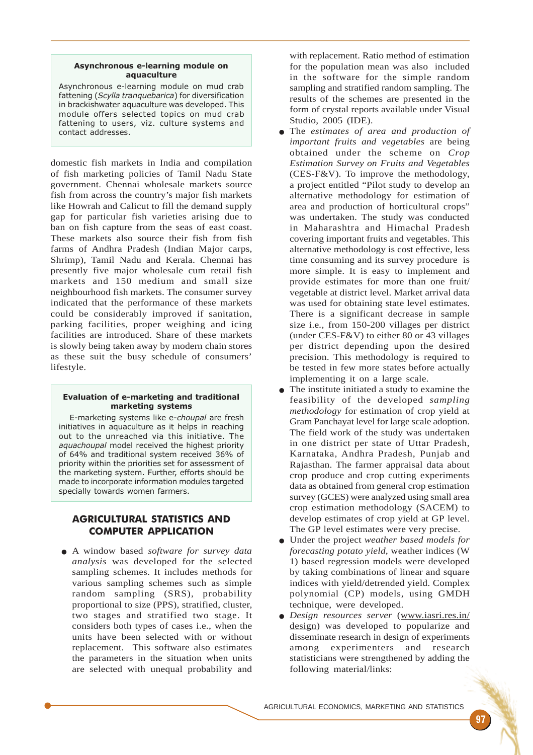## Asynchronous e-learning module on aquaculture

Asynchronous e-learning module on mud crab fattening (Scylla tranquebarica) for diversification in brackishwater aquaculture was developed. This module offers selected topics on mud crab fattening to users, viz. culture systems and contact addresses.

domestic fish markets in India and compilation of fish marketing policies of Tamil Nadu State government. Chennai wholesale markets source fish from across the country's major fish markets like Howrah and Calicut to fill the demand supply gap for particular fish varieties arising due to ban on fish capture from the seas of east coast. These markets also source their fish from fish farms of Andhra Pradesh (Indian Major carps, Shrimp), Tamil Nadu and Kerala. Chennai has presently five major wholesale cum retail fish markets and 150 medium and small size neighbourhood fish markets. The consumer survey indicated that the performance of these markets could be considerably improved if sanitation, parking facilities, proper weighing and icing facilities are introduced. Share of these markets is slowly being taken away by modern chain stores as these suit the busy schedule of consumers' lifestyle.

#### Evaluation of e-marketing and traditional marketing systems

E-marketing systems like e-choupal are fresh initiatives in aquaculture as it helps in reaching out to the unreached via this initiative. The aquachoupal model received the highest priority of 64% and traditional system received 36% of priority within the priorities set for assessment of the marketing system. Further, efforts should be made to incorporate information modules targeted specially towards women farmers.

# AGRICULTURAL STATISTICS AND COMPUTER APPLICATION

● A window based *software for survey data analysis* was developed for the selected sampling schemes. It includes methods for various sampling schemes such as simple random sampling (SRS), probability proportional to size (PPS), stratified, cluster, two stages and stratified two stage. It considers both types of cases i.e., when the units have been selected with or without replacement. This software also estimates the parameters in the situation when units are selected with unequal probability and

with replacement. Ratio method of estimation for the population mean was also included in the software for the simple random sampling and stratified random sampling. The results of the schemes are presented in the form of crystal reports available under Visual Studio, 2005 (IDE).

- The *estimates of area and production of important fruits and vegetables* are being obtained under the scheme on *Crop Estimation Survey on Fruits and Vegetables* (CES-F&V). To improve the methodology, a project entitled "Pilot study to develop an alternative methodology for estimation of area and production of horticultural crops" was undertaken. The study was conducted in Maharashtra and Himachal Pradesh covering important fruits and vegetables. This alternative methodology is cost effective, less time consuming and its survey procedure is more simple. It is easy to implement and provide estimates for more than one fruit/ vegetable at district level. Market arrival data was used for obtaining state level estimates. There is a significant decrease in sample size i.e*.,* from 150-200 villages per district (under CES-F&V) to either 80 or 43 villages per district depending upon the desired precision. This methodology is required to be tested in few more states before actually implementing it on a large scale.
- The institute initiated a study to examine the feasibility of the developed *sampling methodology* for estimation of crop yield at Gram Panchayat level for large scale adoption. The field work of the study was undertaken in one district per state of Uttar Pradesh, Karnataka, Andhra Pradesh, Punjab and Rajasthan. The farmer appraisal data about crop produce and crop cutting experiments data as obtained from general crop estimation survey (GCES) were analyzed using small area crop estimation methodology (SACEM) to develop estimates of crop yield at GP level. The GP level estimates were very precise.
- Under the project *weather based models for forecasting potato yield*, weather indices (W 1) based regression models were developed by taking combinations of linear and square indices with yield/detrended yield. Complex polynomial (CP) models, using GMDH technique, were developed.
- *Design resources server* (www.iasri.res.in/ design) was developed to popularize and disseminate research in design of experiments among experimenters and research statisticians were strengthened by adding the following material/links: